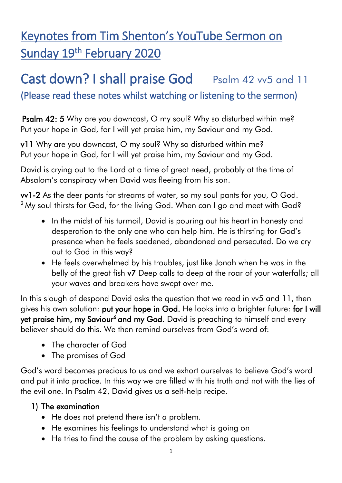# Keynotes from Tim Shenton's YouTube Sermon on Sunday 19<sup>th</sup> February 2020

## Cast down? I shall praise God Psalm 42 vv5 and 11 (Please read these notes whilst watching or listening to the sermon)

Psalm 42: 5 Why are you downcast, O my soul? Why so disturbed within me? Put your hope in God, for I will yet praise him, my Saviour and my God.

v11 Why are you downcast, O my soul? Why so disturbed within me? Put your hope in God, for I will yet praise him, my Saviour and my God.

David is crying out to the Lord at a time of great need, probably at the time of Absalom's conspiracy when David was fleeing from his son.

vv1-2 As the deer pants for streams of water, so my soul pants for you, O God.  $2$  My soul thirsts for God, for the living God. When can I go and meet with God?

- In the midst of his turmoil, David is pouring out his heart in honesty and desperation to the only one who can help him. He is thirsting for God's presence when he feels saddened, abandoned and persecuted. Do we cry out to God in this way?
- He feels overwhelmed by his troubles, just like Jonah when he was in the belly of the great fish v7 Deep calls to deep at the roar of your waterfalls; all your waves and breakers have swept over me.

In this slough of despond David asks the question that we read in vv5 and 11, then gives his own solution: put your hope in God. He looks into a brighter future: for I will yet praise him, my Saviour<sup>6</sup> and my God. David is preaching to himself and every believer should do this. We then remind ourselves from God's word of:

- The character of God
- The promises of God

God's word becomes precious to us and we exhort ourselves to believe God's word and put it into practice. In this way we are filled with his truth and not with the lies of the evil one. In Psalm 42, David gives us a self-help recipe.

#### 1) The examination

- He does not pretend there isn't a problem.
- He examines his feelings to understand what is going on
- He tries to find the cause of the problem by asking questions.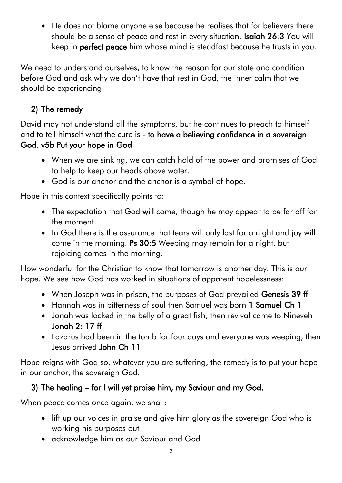He does not blame anyone else because he realises that for believers there should be a sense of peace and rest in every situation. **Isaiah 26:3** You will keep in perfect peace him whose mind is steadfast because he trusts in you.

We need to understand ourselves, to know the reason for our state and condition before God and ask why we don't have that rest in God, the inner calm that we should be experiencing.

## 2) The remedy

David may not understand all the symptoms, but he continues to preach to himself and to tell himself what the cure is - to have a believing confidence in a sovereign God. v5b Put your hope in God

- When we are sinking, we can catch hold of the power and promises of God to help to keep our heads above water.
- God is our anchor and the anchor is a symbol of hope.

Hope in this context specifically points to:

- The expectation that God will come, though he may appear to be far off for the moment
- In God there is the assurance that tears will only last for a night and joy will come in the morning. Ps 30:5 Weeping may remain for a night, but rejoicing comes in the morning.

How wonderful for the Christian to know that tomorrow is another day. This is our hope. We see how God has worked in situations of apparent hopelessness:

- When Joseph was in prison, the purposes of God prevailed Genesis 39 ff
- Hannah was in bitterness of soul then Samuel was born 1 Samuel Ch 1
- Jonah was locked in the belly of a great fish, then revival came to Nineveh Jonah 2: 17 ff
- Lazarus had been in the tomb for four days and everyone was weeping, then Jesus arrived John Ch 11

Hope reigns with God so, whatever you are suffering, the remedy is to put your hope in our anchor, the sovereign God.

### 3) The healing – for I will yet praise him, my Saviour and my God.

When peace comes once again, we shall:

- lift up our voices in praise and give him glory as the sovereign God who is working his purposes out
- acknowledge him as our Saviour and God